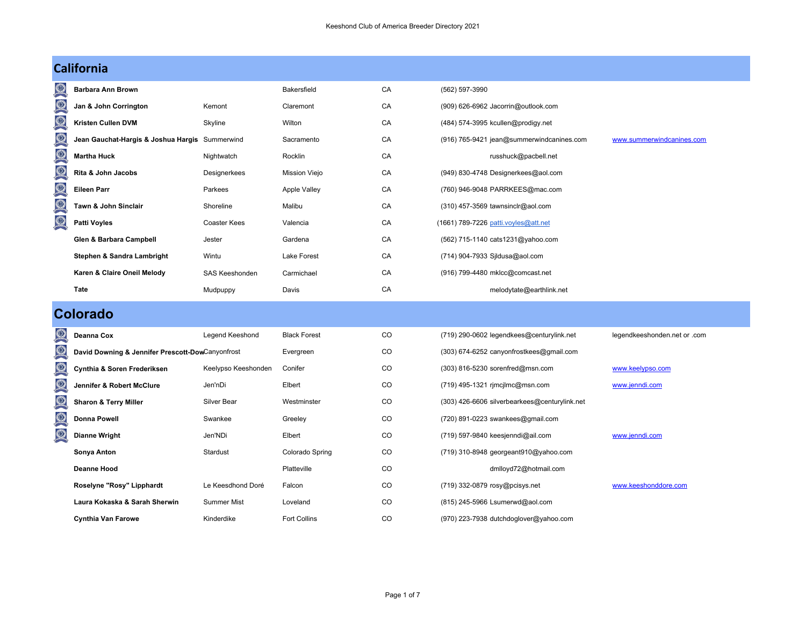| <b>California</b> |  |  |  |
|-------------------|--|--|--|
|                   |  |  |  |

|            | California                                       |                       |                     |    |                                               |                              |
|------------|--------------------------------------------------|-----------------------|---------------------|----|-----------------------------------------------|------------------------------|
|            | Barbara Ann Brown                                |                       | <b>Bakersfield</b>  | CA | (562) 597-3990                                |                              |
| 0          | Jan & John Corrington                            | Kemont                | Claremont           | CA | (909) 626-6962 Jacorrin@outlook.com           |                              |
|            | Kristen Cullen DVM                               | Skyline               | Wilton              | CA | (484) 574-3995 kcullen@prodigy.net            |                              |
|            | Jean Gauchat-Hargis & Joshua Hargis Summerwind   |                       | Sacramento          | CA | (916) 765-9421 jean@summerwindcanines.com     | www.summerwindcanines.com    |
| 01616      | <b>Martha Huck</b>                               | Nightwatch            | Rocklin             | CA | russhuck@pacbell.net                          |                              |
|            | Rita & John Jacobs                               | Designerkees          | Mission Viejo       | CA | (949) 830-4748 Designerkees@aol.com           |                              |
| 0          | <b>Eileen Parr</b>                               | Parkees               | <b>Apple Valley</b> | CA | (760) 946-9048 PARRKEES@mac.com               |                              |
|            | Tawn & John Sinclair                             | Shoreline             | Malibu              | CA | $(310)$ 457-3569 tawnsinclr@aol.com           |                              |
|            | <b>Patti Voyles</b>                              | Coaster Kees          | Valencia            | CA | (1661) 789-7226 patti.voyles@att.net          |                              |
|            | Glen & Barbara Campbell                          | Jester                | Gardena             | CA | (562) 715-1140 cats1231@yahoo.com             |                              |
|            | <b>Stephen &amp; Sandra Lambright</b>            | Wintu                 | <b>Lake Forest</b>  | CA | (714) 904-7933 Sjldusa@aol.com                |                              |
|            | Karen & Claire Oneil Melody                      | <b>SAS Keeshonden</b> | Carmichael          | CA | (916) 799-4480 mklcc@comcast.net              |                              |
|            | Tate                                             | Mudpuppy              | Davis               | CA | melodytate@earthlink.net                      |                              |
|            | <b>Colorado</b>                                  |                       |                     |    |                                               |                              |
|            | Deanna Cox                                       | Legend Keeshond       | <b>Black Forest</b> | CO | (719) 290-0602 legendkees@centurylink.net     | legendkeeshonden.net or .com |
|            | David Downing & Jennifer Prescott-DowCanyonfrost |                       | Evergreen           | CO | (303) 674-6252 canyonfrostkees@gmail.com      |                              |
|            | Cynthia & Soren Frederiksen                      | Keelypso Keeshonden   | Conifer             | CO | (303) 816-5230 sorenfred@msn.com              | www.keelypso.com             |
|            | Jennifer & Robert McClure                        | Jen'nDi               | Elbert              | CO | (719) 495-1321 rjmcjImc@msn.com               | www.jenndi.com               |
|            | <b>Sharon &amp; Terry Miller</b>                 | <b>Silver Bear</b>    | Westminster         | CO | (303) 426-6606 silverbearkees@centurylink.net |                              |
|            | <b>Donna Powell</b>                              | Swankee               | Greeley             | CO | (720) 891-0223 swankees@gmail.com             |                              |
| $\bigcirc$ | <b>Dianne Wright</b>                             | Jen'NDi               | Elbert              | CO | (719) 597-9840 keesjenndi@ail.com             | www.jenndi.com               |
|            | Sonya Anton                                      | Stardust              | Colorado Spring     | CO | (719) 310-8948 georgeant910@yahoo.com         |                              |
|            | <b>Deanne Hood</b>                               |                       | Platteville         | CO | dmlloyd72@hotmail.com                         |                              |
|            | Roselyne "Rosy" Lipphardt                        | Le Keesdhond Doré     | Falcon              | CO | (719) 332-0879 rosy@pcisys.net                | www.keeshonddore.com         |
|            | Laura Kokaska & Sarah Sherwin                    | <b>Summer Mist</b>    | Loveland            | CO | (815) 245-5966 Lsumerwd@aol.com               |                              |
|            |                                                  |                       |                     |    |                                               |                              |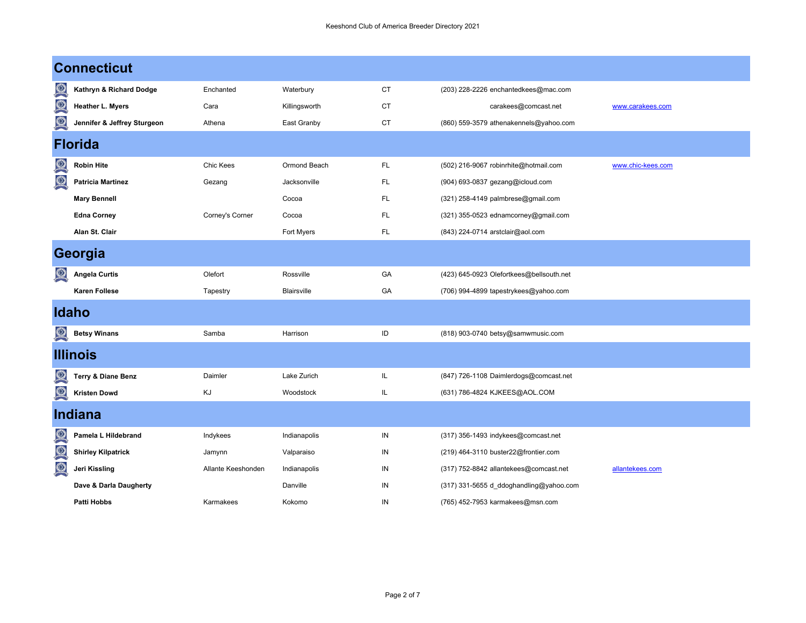|            | <b>Connecticut</b>            |                    |                    |           |                                          |                   |  |  |
|------------|-------------------------------|--------------------|--------------------|-----------|------------------------------------------|-------------------|--|--|
|            | Kathryn & Richard Dodge       | Enchanted          | Waterbury          | CT        | (203) 228-2226 enchantedkees@mac.com     |                   |  |  |
| 01616      | <b>Heather L. Myers</b>       | Cara               | Killingsworth      | <b>CT</b> | carakees@comcast.net                     | www.carakees.com  |  |  |
|            | Jennifer & Jeffrey Sturgeon   | Athena             | East Granby        | <b>CT</b> | (860) 559-3579 athenakennels@yahoo.com   |                   |  |  |
|            | <b>Florida</b>                |                    |                    |           |                                          |                   |  |  |
| $\bigcirc$ | <b>Robin Hite</b>             | Chic Kees          | Ormond Beach       | <b>FL</b> | (502) 216-9067 robinrhite@hotmail.com    | www.chic-kees.com |  |  |
|            | <b>Patricia Martinez</b>      | Gezang             | Jacksonville       | FL        | (904) 693-0837 gezang@icloud.com         |                   |  |  |
|            | <b>Mary Bennell</b>           |                    | Cocoa              | FL.       | (321) 258-4149 palmbrese@gmail.com       |                   |  |  |
|            | <b>Edna Corney</b>            | Corney's Corner    | Cocoa              | FL.       | (321) 355-0523 ednamcorney@gmail.com     |                   |  |  |
|            | Alan St. Clair                |                    | Fort Myers         | FL        | (843) 224-0714 arstclair@aol.com         |                   |  |  |
| Georgia    |                               |                    |                    |           |                                          |                   |  |  |
|            | <b>Angela Curtis</b>          | Olefort            | Rossville          | GA        | (423) 645-0923 Olefortkees@bellsouth.net |                   |  |  |
|            | <b>Karen Follese</b>          | Tapestry           | <b>Blairsville</b> | GA        | (706) 994-4899 tapestrykees@yahoo.com    |                   |  |  |
|            | Idaho                         |                    |                    |           |                                          |                   |  |  |
|            | <b>Betsy Winans</b>           | Samba              | Harrison           | ID        | (818) 903-0740 betsy@samwmusic.com       |                   |  |  |
|            | <b>Illinois</b>               |                    |                    |           |                                          |                   |  |  |
|            | <b>Terry &amp; Diane Benz</b> | Daimler            | Lake Zurich        | IL        | (847) 726-1108 Daimlerdogs@comcast.net   |                   |  |  |
|            | <b>Kristen Dowd</b>           | KJ                 | Woodstock          | IL        | (631) 786-4824 KJKEES@AOL.COM            |                   |  |  |
|            | Indiana                       |                    |                    |           |                                          |                   |  |  |
|            | <b>Pamela L Hildebrand</b>    | Indykees           | Indianapolis       | IN        | (317) 356-1493 indykees@comcast.net      |                   |  |  |
| 1010       | <b>Shirley Kilpatrick</b>     | Jamynn             | Valparaiso         | IN        | (219) 464-3110 buster22@frontier.com     |                   |  |  |
|            | Jeri Kissling                 | Allante Keeshonden | Indianapolis       | IN        | (317) 752-8842 allantekees@comcast.net   | allantekees.com   |  |  |
|            | Dave & Darla Daugherty        |                    | Danville           | IN        | (317) 331-5655 d_ddoghandling@yahoo.com  |                   |  |  |
|            | <b>Patti Hobbs</b>            | Karmakees          | Kokomo             | IN        | (765) 452-7953 karmakees@msn.com         |                   |  |  |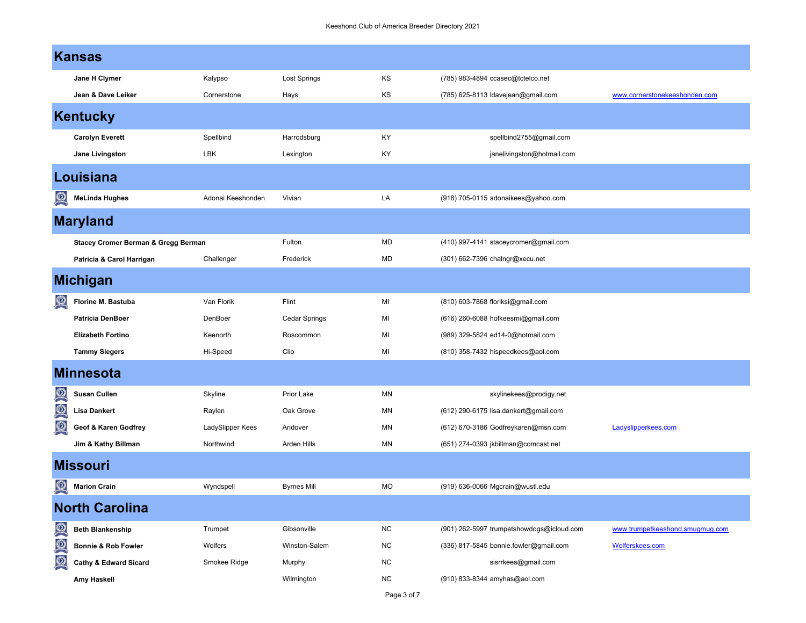|    | <b>Kansas</b>                                  |                   |                      |             |                                           |                                 |
|----|------------------------------------------------|-------------------|----------------------|-------------|-------------------------------------------|---------------------------------|
|    | Jane H Clymer                                  | Kalypso           | Lost Springs         | KS          | (785) 983-4894 ccasec@tctelco.net         |                                 |
|    | Jean & Dave Leiker                             | Cornerstone       | Hays                 | KS          | (785) 625-8113 Idavejean@gmail.com        | www.cornerstonekeeshonden.com   |
|    | <b>Kentucky</b>                                |                   |                      |             |                                           |                                 |
|    | <b>Carolyn Everett</b>                         | Spellbind         | Harrodsburg          | KY          | spellbind2755@gmail.com                   |                                 |
|    | Jane Livingston                                | <b>LBK</b>        | Lexington            | KY          | janelivingston@hotmail.com                |                                 |
|    | Louisiana                                      |                   |                      |             |                                           |                                 |
|    | <b>MeLinda Hughes</b>                          | Adonai Keeshonden | Vivian               | LA          | (918) 705-0115 adonaikees@yahoo.com       |                                 |
|    | <b>Maryland</b>                                |                   |                      |             |                                           |                                 |
|    | <b>Stacey Cromer Berman &amp; Gregg Berman</b> |                   | Fulton               | MD          | (410) 997-4141 staceycromer@gmail.com     |                                 |
|    | Patricia & Carol Harrigan                      | Challenger        | Frederick            | MD          | (301) 662-7396 chalngr@xecu.net           |                                 |
|    | <b>Michigan</b>                                |                   |                      |             |                                           |                                 |
|    | Florine M. Bastuba                             | Van Florik        | Flint                | MI          | (810) 603-7868 floriksi@gmail.com         |                                 |
|    | <b>Patricia DenBoer</b>                        | DenBoer           | <b>Cedar Springs</b> | MI          | (616) 260-6088 hofkeesmi@gmail.com        |                                 |
|    | <b>Elizabeth Fortino</b>                       | Keenorth          | Roscommon            | MI          | (989) 329-5824 ed14-0@hotmail.com         |                                 |
|    | <b>Tammy Siegers</b>                           | Hi-Speed          | Clio                 | MI          | (810) 358-7432 hispeedkees@aol.com        |                                 |
|    | <b>Minnesota</b>                               |                   |                      |             |                                           |                                 |
|    | <b>Susan Cullen</b>                            | Skyline           | <b>Prior Lake</b>    | ΜN          | skylinekees@prodigy.net                   |                                 |
| 00 | <b>Lisa Dankert</b>                            | Raylen            | Oak Grove            | ΜN          | (612) 290-6175 lisa.dankert@gmail.com     |                                 |
|    | Geof & Karen Godfrey                           | LadySlipper Kees  | Andover              | ΜN          | (612) 670-3186 Godfreykaren@msn.com       | Ladyslipperkees.com             |
|    | Jim & Kathy Billman                            | Northwind         | Arden Hills          | ΜN          | (651) 274-0393 jkbillman@comcast.net      |                                 |
|    | <b>Missouri</b>                                |                   |                      |             |                                           |                                 |
|    | <b>Marion Crain</b>                            | Wyndspell         | <b>Byrnes Mill</b>   | МO          | (919) 636-0066 Mgcrain@wustl.edu          |                                 |
|    | <b>North Carolina</b>                          |                   |                      |             |                                           |                                 |
| 00 | <b>Beth Blankenship</b>                        | Trumpet           | Gibsonville          | <b>NC</b>   | (901) 262-5997 trumpetshowdogs@icloud.com | www.trumpetkeeshond.smugmug.com |
|    | Bonnie & Rob Fowler                            | Wolfers           | Winston-Salem        | $_{\rm NC}$ | (336) 817-5845 bonnie.fowler@gmail.com    | Wolferskees.com                 |
|    | <b>Cathy &amp; Edward Sicard</b>               | Smokee Ridge      | Murphy               | NC          | sisrrkees@gmail.com                       |                                 |
|    | Amy Haskell                                    |                   | Wilmington           | NC          | (910) 833-8344 amyhas@aol.com             |                                 |

Page 3 of 7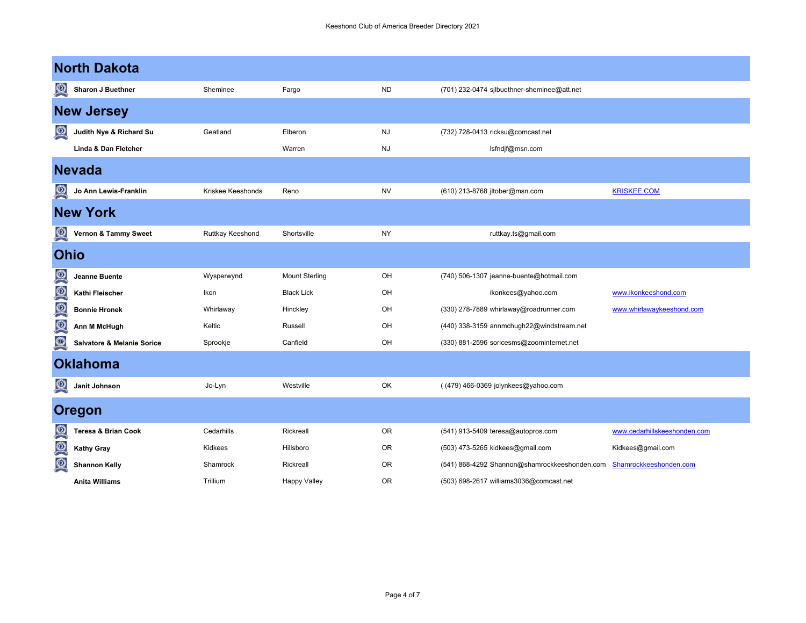|               | <b>North Dakota</b>                   |                   |                       |           |                                               |                              |
|---------------|---------------------------------------|-------------------|-----------------------|-----------|-----------------------------------------------|------------------------------|
|               | Sharon J Buethner                     | Sheminee          | Fargo                 | <b>ND</b> | (701) 232-0474 sjlbuethner-sheminee@att.net   |                              |
|               | <b>New Jersey</b>                     |                   |                       |           |                                               |                              |
| Q             | Judith Nye & Richard Su               | Geatland          | Elberon               | <b>NJ</b> | (732) 728-0413 ricksu@comcast.net             |                              |
|               | Linda & Dan Fletcher                  |                   | Warren                | <b>NJ</b> | lsfndjf@msn.com                               |                              |
| <b>Nevada</b> |                                       |                   |                       |           |                                               |                              |
|               | Jo Ann Lewis-Franklin                 | Kriskee Keeshonds | Reno                  | <b>NV</b> | (610) 213-8768 jltober@msn.com                | <b>KRISKEE.COM</b>           |
|               | <b>New York</b>                       |                   |                       |           |                                               |                              |
| <b>CONST</b>  | Vernon & Tammy Sweet                  | Ruttkay Keeshond  | Shortsville           | <b>NY</b> | ruttkay.ts@gmail.com                          |                              |
| <b>Ohio</b>   |                                       |                   |                       |           |                                               |                              |
|               | Jeanne Buente                         | Wysperwynd        | <b>Mount Sterling</b> | OH        | (740) 506-1307 jeanne-buente@hotmail.com      |                              |
| 000000        | Kathi Fleischer                       | Ikon              | <b>Black Lick</b>     | OH        | ikonkees@yahoo.com                            | www.ikonkeeshond.com         |
|               | <b>Bonnie Hronek</b>                  | Whirlaway         | Hinckley              | OH        | (330) 278-7889 whirlaway@roadrunner.com       | www.whirlawaykeeshond.com    |
|               | Ann M McHugh                          | Keltic            | Russell               | OH        | (440) 338-3159 annmchugh22@windstream.net     |                              |
|               | <b>Salvatore &amp; Melanie Sorice</b> | Sprookje          | Canfield              | OH        | (330) 881-2596 soricesms@zoominternet.net     |                              |
|               | <b>Oklahoma</b>                       |                   |                       |           |                                               |                              |
|               | Janit Johnson                         | Jo-Lyn            | Westville             | OK        | ((479) 466-0369 jolynkees@yahoo.com           |                              |
|               | <b>Oregon</b>                         |                   |                       |           |                                               |                              |
|               | <b>Teresa &amp; Brian Cook</b>        | Cedarhills        | Rickreall             | <b>OR</b> | (541) 913-5409 teresa@autopros.com            | www.cedarhillskeeshonden.com |
| 0             | <b>Kathy Gray</b>                     | Kidkees           | Hillsboro             | 0R        | (503) 473-5265 kidkees@gmail.com              | Kidkees@gmail.com            |
|               | <b>Shannon Kelly</b>                  | Shamrock          | Rickreall             | 0R        | (541) 868-4292 Shannon@shamrockkeeshonden.com | Shamrockkeeshonden.com       |
|               | <b>Anita Williams</b>                 | Trillium          | <b>Happy Valley</b>   | <b>OR</b> | (503) 698-2617 williams3036@comcast.net       |                              |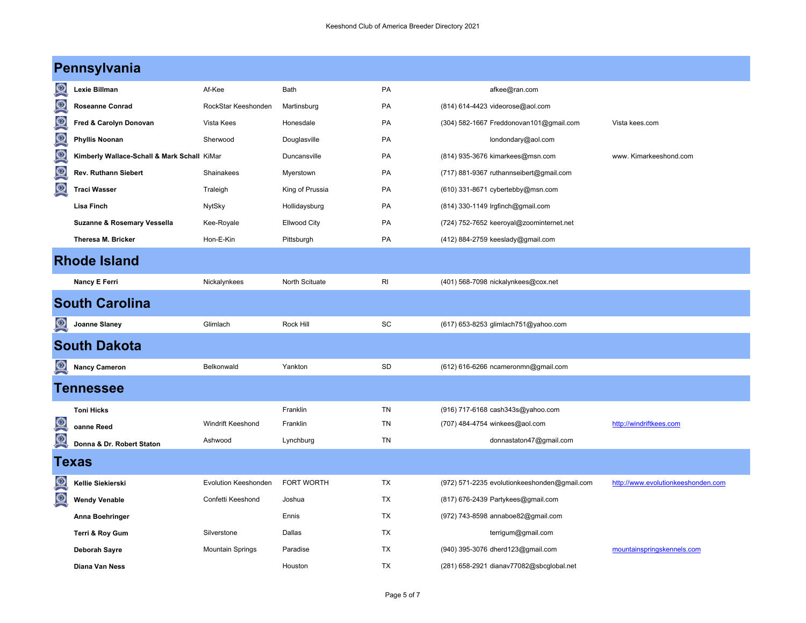|                | Pennsylvania                                |                          |                     |           |                                              |                                    |  |  |  |
|----------------|---------------------------------------------|--------------------------|---------------------|-----------|----------------------------------------------|------------------------------------|--|--|--|
| O              | Lexie Billman                               | Af-Kee                   | Bath                | PA        | afkee@ran.com                                |                                    |  |  |  |
|                | <b>Roseanne Conrad</b>                      | RockStar Keeshonden      | Martinsburg         | PA        | (814) 614-4423 videorose@aol.com             |                                    |  |  |  |
| 0              | Fred & Carolyn Donovan                      | Vista Kees               | Honesdale           | PA        | (304) 582-1667 Freddonovan101@gmail.com      | Vista kees.com                     |  |  |  |
|                | <b>Phyllis Noonan</b>                       | Sherwood                 | Douglasville        | PA        | londondary@aol.com                           |                                    |  |  |  |
|                | Kimberly Wallace-Schall & Mark Schall KiMar |                          | Duncansville        | PA        | (814) 935-3676 kimarkees@msn.com             | www. Kimarkeeshond.com             |  |  |  |
| 0              | Rev. Ruthann Siebert                        | Shainakees               | Myerstown           | PA        | (717) 881-9367 ruthannseibert@gmail.com      |                                    |  |  |  |
| $\bigcirc$     | <b>Traci Wasser</b>                         | Traleigh                 | King of Prussia     | PA        | (610) 331-8671 cybertebby@msn.com            |                                    |  |  |  |
|                | <b>Lisa Finch</b>                           | NytSky                   | Hollidaysburg       | PA        | (814) 330-1149 lrgfinch@gmail.com            |                                    |  |  |  |
|                | <b>Suzanne &amp; Rosemary Vessella</b>      | Kee-Royale               | <b>Ellwood City</b> | PA        | (724) 752-7652 keeroyal@zoominternet.net     |                                    |  |  |  |
|                | <b>Theresa M. Bricker</b>                   | Hon-E-Kin                | Pittsburgh          | PA        | (412) 884-2759 keeslady@gmail.com            |                                    |  |  |  |
|                | <b>Rhode Island</b>                         |                          |                     |           |                                              |                                    |  |  |  |
|                | Nancy E Ferri                               | Nickalynkees             | North Scituate      | RI        | (401) 568-7098 nickalynkees@cox.net          |                                    |  |  |  |
|                | <b>South Carolina</b>                       |                          |                     |           |                                              |                                    |  |  |  |
|                | <b>Joanne Slaney</b>                        | Glimlach                 | Rock Hill           | SC        | (617) 653-8253 glimlach751@yahoo.com         |                                    |  |  |  |
|                | <b>South Dakota</b>                         |                          |                     |           |                                              |                                    |  |  |  |
| $\circledR$    | <b>Nancy Cameron</b>                        | Belkonwald               | Yankton             | SD        | (612) 616-6266 ncameronmn@gmail.com          |                                    |  |  |  |
|                | Tennessee                                   |                          |                     |           |                                              |                                    |  |  |  |
|                | <b>Toni Hicks</b>                           |                          | Franklin            | TN        | (916) 717-6168 cash343s@yahoo.com            |                                    |  |  |  |
|                | oanne Reed                                  | <b>Windrift Keeshond</b> | Franklin            | <b>TN</b> | (707) 484-4754 winkees@aol.com               | http://windriftkees.com            |  |  |  |
| $\circledcirc$ | Donna & Dr. Robert Staton                   | Ashwood                  | Lynchburg           | <b>TN</b> | donnastaton47@gmail.com                      |                                    |  |  |  |
|                | Texas                                       |                          |                     |           |                                              |                                    |  |  |  |
|                | Kellie Siekierski                           | Evolution Keeshonden     | <b>FORT WORTH</b>   | TX        | (972) 571-2235 evolutionkeeshonden@gmail.com | http://www.evolutionkeeshonden.com |  |  |  |
| Q              | <b>Wendy Venable</b>                        | Confetti Keeshond        | Joshua              | TX        | (817) 676-2439 Partykees@gmail.com           |                                    |  |  |  |
|                | Anna Boehringer                             |                          | Ennis               | TX        | (972) 743-8598 annaboe82@gmail.com           |                                    |  |  |  |
|                | Terri & Roy Gum                             | Silverstone              | Dallas              | TX        | terrigum@gmail.com                           |                                    |  |  |  |
|                | Deborah Sayre                               | <b>Mountain Springs</b>  | Paradise            | TX        | (940) 395-3076 dherd123@gmail.com            | mountainspringskennels.com         |  |  |  |
|                | <b>Diana Van Ness</b>                       |                          | Houston             | <b>TX</b> | (281) 658-2921 dianav77082@sbcglobal.net     |                                    |  |  |  |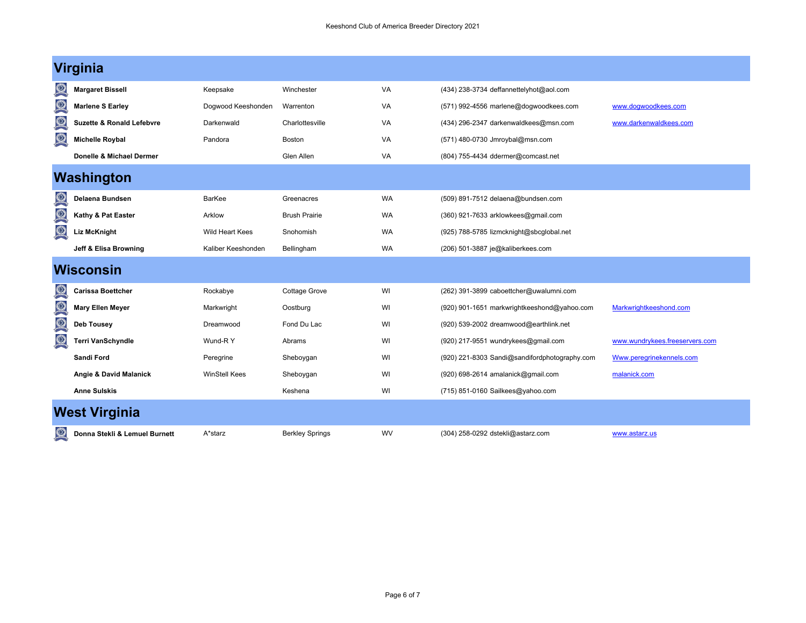|                | <b>Virginia</b>                      |                        |                        |           |                                               |                                |  |  |  |
|----------------|--------------------------------------|------------------------|------------------------|-----------|-----------------------------------------------|--------------------------------|--|--|--|
|                | <b>Margaret Bissell</b>              | Keepsake               | Winchester             | <b>VA</b> | (434) 238-3734 deffannettelyhot@aol.com       |                                |  |  |  |
|                | <b>Marlene S Earley</b>              | Dogwood Keeshonden     | Warrenton              | VA        | (571) 992-4556 marlene@dogwoodkees.com        | www.dogwoodkees.com            |  |  |  |
|                | <b>Suzette &amp; Ronald Lefebvre</b> | Darkenwald             | Charlottesville        | VA        | (434) 296-2347 darkenwaldkees@msn.com         | www.darkenwaldkees.com         |  |  |  |
| $\bigcirc$     | <b>Michelle Roybal</b>               | Pandora                | Boston                 | VA        | (571) 480-0730 Jmroybal@msn.com               |                                |  |  |  |
|                | Donelle & Michael Dermer             |                        | Glen Allen             | VA        | (804) 755-4434 ddermer@comcast.net            |                                |  |  |  |
|                | Washington                           |                        |                        |           |                                               |                                |  |  |  |
|                | Delaena Bundsen                      | <b>BarKee</b>          | Greenacres             | <b>WA</b> | (509) 891-7512 delaena@bundsen.com            |                                |  |  |  |
| $\bigcirc$     | Kathy & Pat Easter                   | Arklow                 | <b>Brush Prairie</b>   | <b>WA</b> | (360) 921-7633 arklowkees@gmail.com           |                                |  |  |  |
| $\bigcirc$     | <b>Liz McKnight</b>                  | <b>Wild Heart Kees</b> | Snohomish              | <b>WA</b> | (925) 788-5785 lizmcknight@sbcglobal.net      |                                |  |  |  |
|                | Jeff & Elisa Browning                | Kaliber Keeshonden     | Bellingham             | <b>WA</b> | (206) 501-3887 je@kaliberkees.com             |                                |  |  |  |
|                | <b>Wisconsin</b>                     |                        |                        |           |                                               |                                |  |  |  |
|                | <b>Carissa Boettcher</b>             | Rockabye               | Cottage Grove          | WI        | (262) 391-3899 caboettcher@uwalumni.com       |                                |  |  |  |
|                | <b>Mary Ellen Meyer</b>              | Markwright             | Oostburg               | WI        | (920) 901-1651 markwrightkeeshond@yahoo.com   | Markwrightkeeshond.com         |  |  |  |
|                | <b>Deb Tousey</b>                    | Dreamwood              | Fond Du Lac            | WI        | (920) 539-2002 dreamwood@earthlink.net        |                                |  |  |  |
| $^{\circledR}$ | <b>Terri VanSchyndle</b>             | Wund-RY                | Abrams                 | WI        | (920) 217-9551 wundrykees@gmail.com           | www.wundrykees.freeservers.com |  |  |  |
|                | <b>Sandi Ford</b>                    | Peregrine              | Sheboygan              | WI        | (920) 221-8303 Sandi@sandifordphotography.com | Www.peregrinekennels.com       |  |  |  |
|                | Angie & David Malanick               | <b>WinStell Kees</b>   | Sheboygan              | WI        | (920) 698-2614 amalanick@gmail.com            | malanick.com                   |  |  |  |
|                | <b>Anne Sulskis</b>                  |                        | Keshena                | WI        | (715) 851-0160 Sailkees@yahoo.com             |                                |  |  |  |
|                | <b>West Virginia</b>                 |                        |                        |           |                                               |                                |  |  |  |
|                | Donna Stekli & Lemuel Burnett        | A*starz                | <b>Berkley Springs</b> | <b>WV</b> | (304) 258-0292 dstekli@astarz.com             | www.astarz.us                  |  |  |  |